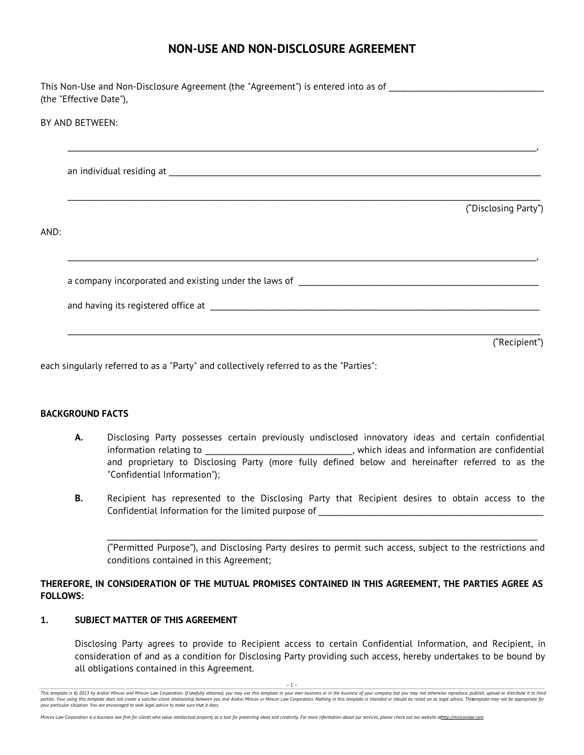# **NON-USE AND NON-DISCLOSURE AGREEMENT**

|      | This Non-Use and Non-Disclosure Agreement (the "Agreement") is entered into as of ____________________________<br>(the "Effective Date"), |
|------|-------------------------------------------------------------------------------------------------------------------------------------------|
|      | BY AND BETWEEN:                                                                                                                           |
|      |                                                                                                                                           |
| AND: | ("Disclosing Party")                                                                                                                      |
|      |                                                                                                                                           |

("Recipient")

each singularly referred to as a "Party" and collectively referred to as the "Parties":

#### **BACKGROUND FACTS**

- **A.** Disclosing Party possesses certain previously undisclosed innovatory ideas and certain confidential information relating to \_\_\_\_\_\_\_\_\_\_\_\_\_\_\_\_\_\_\_\_\_\_\_\_\_\_\_\_\_\_\_\_\_\_\_\_\_\_, which ideas and information are confidential and proprietary to Disclosing Party (more fully defined below and hereinafter referred to as the "Confidential Information");
- **B.** Recipient has represented to the Disclosing Party that Recipient desires to obtain access to the Confidential Information for the limited purpose of

("Permitted Purpose"), and Disclosing Party desires to permit such access, subject to the restrictions and conditions contained in this Agreement;

\_\_\_\_\_\_\_\_\_\_\_\_\_\_\_\_\_\_\_\_\_\_\_\_\_\_\_\_\_\_\_\_\_\_\_\_\_\_\_\_\_\_\_\_\_\_\_\_\_\_\_\_\_\_\_\_\_\_\_\_\_\_\_\_\_\_\_\_\_\_\_\_\_\_\_\_\_\_\_\_\_\_\_\_\_\_\_\_\_\_\_\_\_\_\_\_\_\_\_\_\_\_\_\_\_\_\_\_\_\_\_

## **THEREFORE, IN CONSIDERATION OF THE MUTUAL PROMISES CONTAINED IN THIS AGREEMENT, THE PARTIES AGREE AS FOLLOWS:**

## **1. SUBJECT MATTER OF THIS AGREEMENT**

Disclosing Party agrees to provide to Recipient access to certain Confidential Information, and Recipient, in consideration of and as a condition for Disclosing Party providing such access, hereby undertakes to be bound by all obligations contained in this Agreement.

This template is @ 2013 by Andrei Mincov and Mincov Law Corporation. If lawfully obtained, you may use this template in your own business or in the business of your company but you may not otherwise reproduce, publish, upl parties. Your using this template does not create a solicitor-client relationship between you and Andrei Mincov or Mincov Law Corporation. Nothing in this template is intended or should be relied on as legal advice. This e *your particular situation. You are encouraged to seek legal advice to make sure that it does.*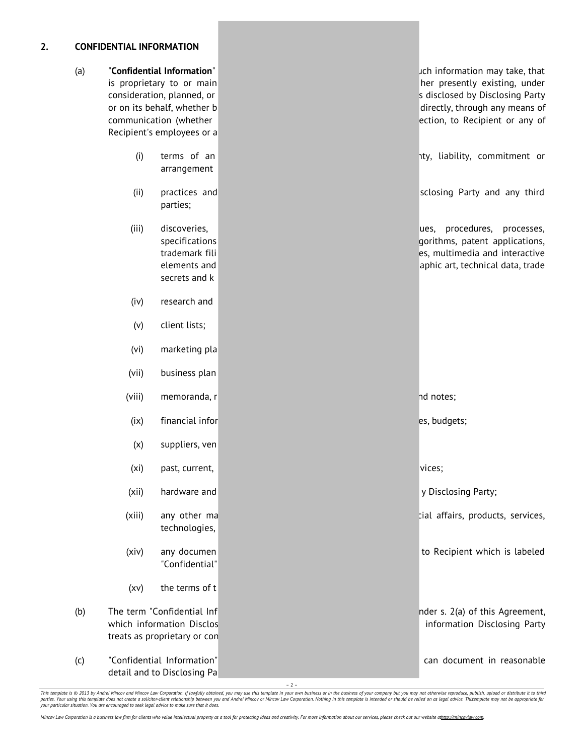## **2. CONFIDENTIAL INFORMATION**

| (a) | "Confidential Information"<br>is proprietary to or main<br>consideration, planned, or<br>or on its behalf, whether b<br>communication (whether |                                                                                   | ich information may take, that<br>her presently existing, under<br>s disclosed by Disclosing Party<br>directly, through any means of<br>ection, to Recipient or any of |
|-----|------------------------------------------------------------------------------------------------------------------------------------------------|-----------------------------------------------------------------------------------|------------------------------------------------------------------------------------------------------------------------------------------------------------------------|
|     |                                                                                                                                                | Recipient's employees or a                                                        |                                                                                                                                                                        |
|     | (i)                                                                                                                                            | terms of an<br>arrangement                                                        | ity, liability, commitment or                                                                                                                                          |
|     | (i)                                                                                                                                            | practices and<br>parties;                                                         | sclosing Party and any third                                                                                                                                           |
|     | (iii)                                                                                                                                          | discoveries,<br>specifications<br>trademark fili<br>elements and<br>secrets and k | procedures,<br>processes,<br>ues,<br>gorithms, patent applications,<br>es, multimedia and interactive<br>aphic art, technical data, trade                              |
|     | (iv)                                                                                                                                           | research and                                                                      |                                                                                                                                                                        |
|     | (v)                                                                                                                                            | client lists;                                                                     |                                                                                                                                                                        |
|     | (vi)                                                                                                                                           | marketing pla                                                                     |                                                                                                                                                                        |
|     | (vii)                                                                                                                                          | business plan                                                                     |                                                                                                                                                                        |
|     | (viii)                                                                                                                                         | memoranda, r                                                                      | nd notes;                                                                                                                                                              |
|     | (ix)                                                                                                                                           | financial infor                                                                   | es, budgets;                                                                                                                                                           |
|     | (x)                                                                                                                                            | suppliers, ven                                                                    |                                                                                                                                                                        |
|     | (x <sub>i</sub> )                                                                                                                              | past, current,                                                                    | vices;                                                                                                                                                                 |
|     | (xii)                                                                                                                                          | hardware and                                                                      | y Disclosing Party;                                                                                                                                                    |
|     | (xiii)                                                                                                                                         | any other ma<br>technologies,                                                     | cial affairs, products, services,                                                                                                                                      |
|     | (xiv)                                                                                                                                          | any documen<br>"Confidential"                                                     | to Recipient which is labeled                                                                                                                                          |
|     | (xv)                                                                                                                                           | the terms of t                                                                    |                                                                                                                                                                        |
| (b) | The term "Confidential Inf<br>which information Disclos<br>treats as proprietary or con                                                        |                                                                                   | nder s. 2(a) of this Agreement,<br>information Disclosing Party                                                                                                        |
| (c) | "Confidential Information"<br>detail and to Disclosing Pa                                                                                      |                                                                                   | can document in reasonable                                                                                                                                             |

– 2 –

This template is © 2013 by Andrei Mincov and Mincov Law Corporation. If lawfully obtained, you may use this template in your own business or in the business of your company but you may not otherwise reproduce, publish, upl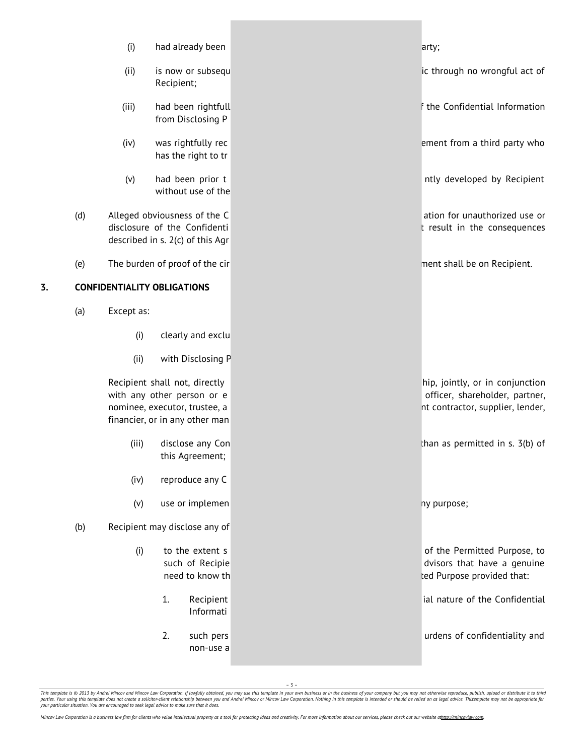|    |                                    | (i)        | had already been                                                                                                               | arty;                                                                                                 |
|----|------------------------------------|------------|--------------------------------------------------------------------------------------------------------------------------------|-------------------------------------------------------------------------------------------------------|
|    |                                    | (ii)       | is now or subsequ<br>Recipient;                                                                                                | ic through no wrongful act of                                                                         |
|    |                                    | (iii)      | had been rightfull<br>from Disclosing P                                                                                        | the Confidential Information                                                                          |
|    |                                    | (iv)       | was rightfully rec<br>has the right to tr                                                                                      | ement from a third party who                                                                          |
|    |                                    | (v)        | had been prior t<br>without use of the                                                                                         | ntly developed by Recipient                                                                           |
|    | (d)                                |            | Alleged obviousness of the C<br>disclosure of the Confidenti<br>described in s. 2(c) of this Agr                               | ation for unauthorized use or<br>t result in the consequences                                         |
|    | (e)                                |            | The burden of proof of the cir                                                                                                 | nent shall be on Recipient.                                                                           |
| 3. | <b>CONFIDENTIALITY OBLIGATIONS</b> |            |                                                                                                                                |                                                                                                       |
|    | (a)                                | Except as: |                                                                                                                                |                                                                                                       |
|    |                                    | (i)        | clearly and exclu                                                                                                              |                                                                                                       |
|    |                                    | (ii)       | with Disclosing P                                                                                                              |                                                                                                       |
|    |                                    |            | Recipient shall not, directly<br>with any other person or e<br>nominee, executor, trustee, a<br>financier, or in any other man | hip, jointly, or in conjunction<br>officer, shareholder, partner,<br>nt contractor, supplier, lender, |
|    |                                    | (iii)      | disclose any Con<br>this Agreement;                                                                                            | than as permitted in s. 3(b) of                                                                       |
|    |                                    | (iv)       | reproduce any C                                                                                                                |                                                                                                       |
|    |                                    | (v)        | use or implemen                                                                                                                | ny purpose;                                                                                           |
|    | (b)                                |            | Recipient may disclose any of                                                                                                  |                                                                                                       |
|    |                                    | (i)        | to the extent s<br>such of Recipie<br>need to know th                                                                          | of the Permitted Purpose, to<br>dvisors that have a genuine<br>ted Purpose provided that:             |
|    |                                    |            | 1.<br>Recipient<br>Informati                                                                                                   | ial nature of the Confidential                                                                        |
|    |                                    |            | 2.<br>such pers<br>non-use a                                                                                                   | urdens of confidentiality and                                                                         |

– 3 –

This template is © 2013 by Andrei Mincov and Mincov Law Corporation. If lawfully obtained, you may use this template in your own business or in the business of your company but you may not otherwise reproduce, publish, upl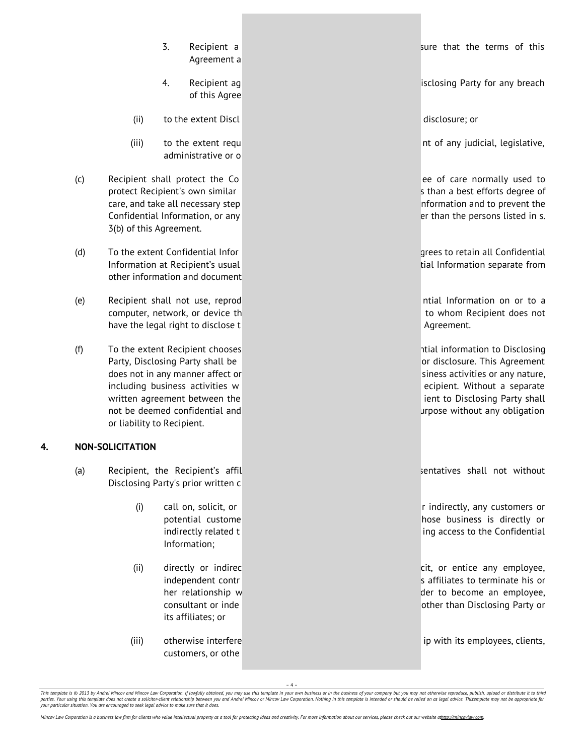- Agreement a
- of this Agree
- (ii) to the extent Discl disclosure; or
- administrative or o
- (c) Recipient shall protect the Co ee of care normally used to protect Recipient's own similar s than a best efforts degree of care, and take all necessary step nformation and to prevent the Confidential Information, or any error confidential Information, or any error control of the persons listed in s. 3(b) of this Agreement.
- (d) To the extent Confidential Infor grees to retain all Confidential confidential Information at Recipient's usual tial Information separate from other information and document
- (e) Recipient shall not use, reprod ntial Information on or to a computer, network, or device the total to whom Recipient does not have the legal right to disclose t Agreement.
- (f) To the extent Recipient chooses ntial information to Disclosing ntial information to Disclosing Party, Disclosing Party shall be **only and the original conducts** or disclosure. This Agreement does not in any manner affect or siness activities or any nature, including business activities w example and the example of the ecipient. Without a separate written agreement between the interest in the ient to Disclosing Party shall not be deemed confidential and urpose without any obligation or liability to Recipient.

## **4. NON-SOLICITATION**

- (a) Recipient, the Recipient's affil sentence is not sentatives shall not without Disclosing Party's prior written c
	- Information;
	- its affiliates; or
	- customers, or othe

3. Recipient a sure that the terms of this

4. Recipient ag is a state of a state of a state of a state of any breach state of any breach state of any breach

(iii) to the extent requ nt of any judicial, legislative,

(i) call on, solicit, or r indirectly, any customers or potential custome hose business is directly or indirectly related t ing access to the Confidential

(ii) directly or indirec cit, or entice any employee, independent contr s affiliates to terminate his or her relationship w der to become an employee, consultant or inde other than Disclosing Party or

(iii) otherwise interfere interfere in the interfere in the interference in the interference in the interference in the interference in the interference in the interfere interference in the interference in the interference

– 4 –

This template is © 2013 by Andrei Mincov and Mincov Law Corporation. If lawfully obtained, you may use this template in your own business or in the business of your company but you may not otherwise reproduce, publish, upl .<br>Inlate does not create a solicitor-client relationship between you and Andrei Mincov or Mincov Law Corporation. Nothing in this template is intended or should be relied on as legal advice. Thisemplate may not be appropri *your particular situation. You are encouraged to seek legal advice to make sure that it does.*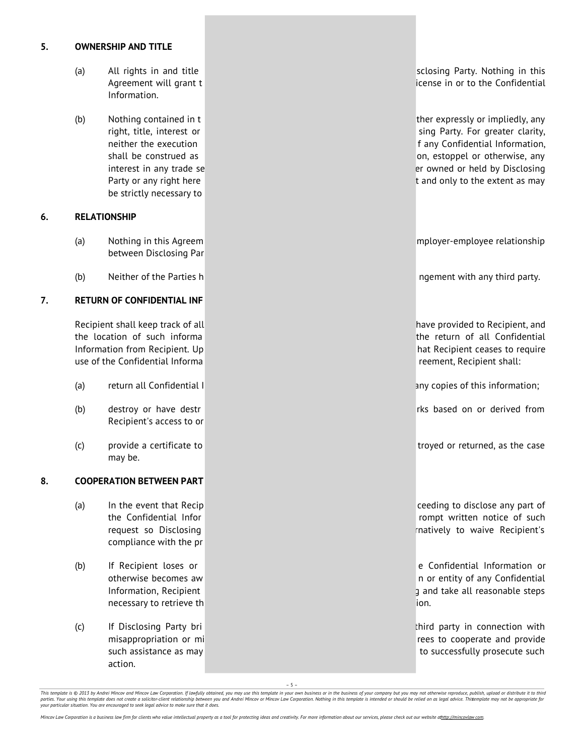## **5. OWNERSHIP AND TITLE**

- Information.
- be strictly necessary to

## **6. RELATIONSHIP**

- between Disclosing Par
- (b) Neither of the Parties h ngement with any third party.

## **7. RETURN OF CONFIDENTIAL INF**

use of the Confidential Informa **reement**, Recipient shall:

- (a) return all Confidential I and the control of the copies of this information;
- (b) destroy or have destr Recipient's access to or
- may be.

#### **8. COOPERATION BETWEEN PART**

- (a) In the event that Recip ceeding to disclose any part of compliance with the pr
- necessary to retrieve the interval and the interval and interval and interval and ion.
- action.

(a) All rights in and title sclosing Party. Nothing in this closing Party. Nothing in this Agreement will grant t in the interval of the Confidential discrete in or to the Confidential

(b) Nothing contained in t the thermal contained in the ther expressly or impliedly, any right, title, interest or sing Party. For greater clarity, neither the execution **f** any Confidential Information, shall be construed as on, estoppel or otherwise, any on, estoppel or otherwise, any interest in any trade se error owned or held by Disclosing Party or any right here the three the three three three transmission of and only to the extent as may

(a) Nothing in this Agreem mployer-employee relationship

Recipient shall keep track of all have provided to Recipient, and the location of such informa the return of all Confidential Information from Recipient. Up hat Recipient ceases to require

(c) provide a certificate to troyed or returned, as the case

the Confidential Infor rompt written notice of such the Confidential Infor request so Disclosing **request so Disclosing**  $r = r$  and  $r = r$  and  $r = r$  and  $r = r$  and  $r = r$  and  $r = r$  and  $r = r$  and  $r = r$  and  $r = r$  and  $r = r$  and  $r = r$  and  $r = r$  and  $r = r$  and  $r = r$  and  $r = r$  and  $r = r$  and  $r = r$  and  $r = r$ 

(b) If Recipient loses or e Confidential Information or otherwise becomes aw n or entity of any Confidential Information, Recipient g and take all reasonable steps

(c) If Disclosing Party bri third party in connection with misappropriation or mi **reportation** or mi such assistance as may to successfully prosecute such assistance as may to successfully prosecute such

– 5 –

This template is @ 2013 by Andrei Mincov and Mincov Law Corporation. If lawfully obtained, you may use this template in your own business or in the business of your company but you may not otherwise reproduce, publish, upl parties. Your using this template does not create a solicitor-client relationship between you and Andrei Mincov or Mincov Law Corporation. Nothing in this template is intended or should be relied on as legal advice. This e *your particular situation. You are encouraged to seek legal advice to make sure that it does.*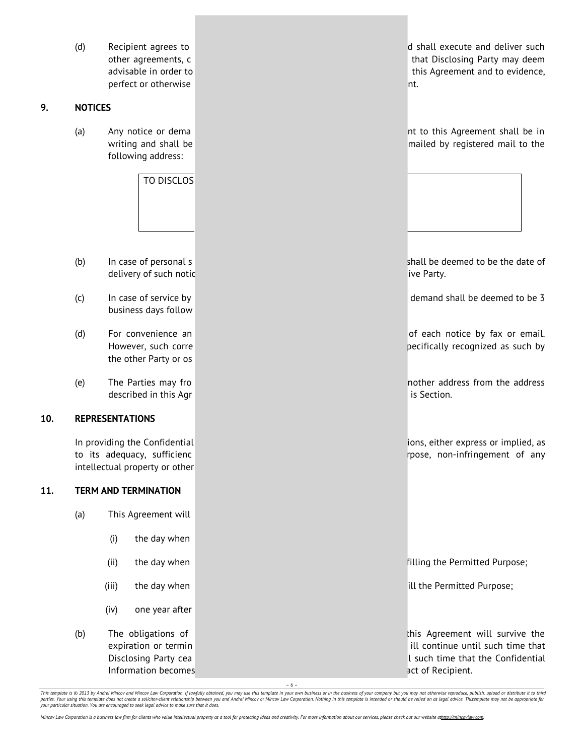perfect or otherwise nterval and the control of the control of the control of the control of the control of the

## **9. NOTICES**

following address:

TO DISCLOS

- delivery of such notic ive Party. The Party is a state of the Party.
- business days follow
- the other Party or os
- described in this Agr is Section.

#### **10. REPRESENTATIONS**

intellectual property or other

## **11. TERM AND TERMINATION**

- (a) This Agreement will
	- (i) the day when
	-
	-
	- (iv) one year after

Information becomes act of Recipient.

(d) Recipient agrees to determine the shall execute and deliver such other agreements, c that Disclosing Party may deem advisable in order to this Agreement and to evidence,

(a) Any notice or dema nt to this Agreement shall be in writing and shall be mailed by registered mail to the

(b) In case of personal s shall be deemed to be the date of

(c) In case of service by demand shall be deemed to be 3

(d) For convenience an of each notice by fax or email. However, such corre pecifically recognized as such by

(e) The Parties may from the notation of the Parties may from the address from the address from the address from the address from the address from the address from the address in the address from the address in the strateg

In providing the Confidential increase the Confidential increase or implied, as a set of the confidential increase or implied, as to its adequacy, sufficienc report of any state of any state report of any state report of any state of any state  $\eta$ 

(ii) the day when filling the Permitted Purpose;

(iii) the day when in the controlled by the Permitted Purpose; ill the Permitted Purpose;

(b) The obligations of this Agreement will survive the expiration or termin in the state of the state of the state of the state of the state of the that time that that Disclosing Party cea l such time that the Confidential

– 6 –

This template is © 2013 by Andrei Mincov and Mincov Law Corporation. If lawfully obtained, you may use this template in your own business or in the business of your company but you may not otherwise reproduce, publish, upl *your particular situation. You are encouraged to seek legal advice to make sure that it does.*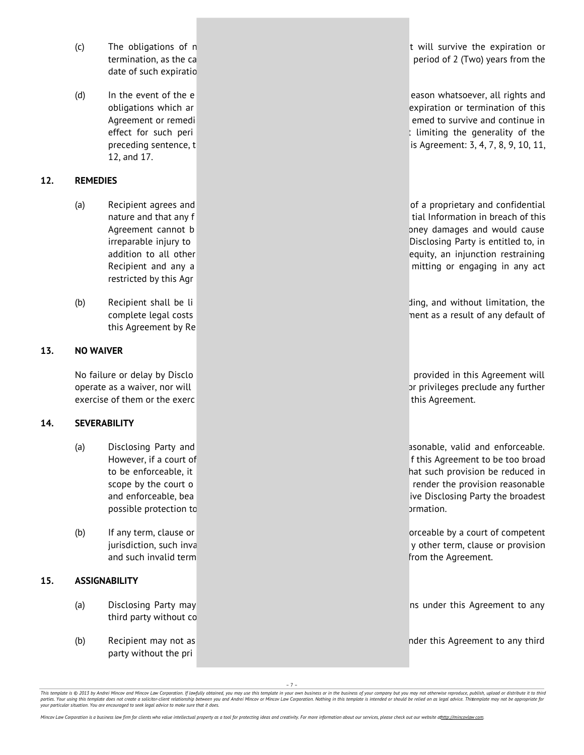- date of such expiratio
- 12, and 17.

## **12. REMEDIES**

- restricted by this Agr
- this Agreement by Re

## **13. NO WAIVER**

exercise of them or the exerc this Agreement.

#### **14. SEVERABILITY**

- possible protection to original control of the control of the control of the control of the control of the control of the control of the control of the control of the control of the control of the control of the control of
- and such invalid term **from the Agreement.** The Agreement of the Agreement of the Agreement.

#### **15. ASSIGNABILITY**

- third party without co
- party without the pri

(c) The obligations of n t will survive the expiration or termination, as the ca period of 2 (Two) years from the

(d) In the event of the e obligations which ar expiration or termination of this Agreement or remediation and the survive and continue in the survive and continue in the survive and continue in effect for such peri the such a limiting the generality of the set of the set of the generality of the set of the set of the set of the set of the set of the set of the set of the set of the set of the set of the set of th preceding sentence, t is Agreement: 3, 4, 7, 8, 9, 10, 11,

(a) Recipient agrees and **of a proprietary and confidential** (a) Recipient agrees and nature and that any f tial Information in breach of this Agreement cannot b oney damages and would cause irreparable injury to Disclosing Party is entitled to, in addition to all other equity, an injunction restraining Recipient and any a mitting or engaging in any act

(b) Recipient shall be li ding, and without limitation, the complete legal costs ment as a result of any default of

No failure or delay by Disclo provided in this Agreement will provided in this Agreement will operate as a waiver, nor will or privileges preclude any further privileges preclude any further

(a) Disclosing Party and assessment as a sonable, valid and enforceable. However, if a court of final control final control of this Agreement to be too broad to be enforceable, it hat such provision be reduced in scope by the court o render the provision reasonable render the provision reasonable and enforceable, bea ive Disclosing Party the broadest

(b) If any term, clause or **orceable by a court of competent** jurisdiction, such inva y other term, clause or provision

(a) Disclosing Party may ns under this Agreement to any

(b) Recipient may not as no not as not as no not as not a not any third  $\alpha$  nder this Agreement to any third

– 7 –

This template is @ 2013 by Andrei Mincov and Mincov Law Corporation. If lawfully obtained, you may use this template in your own business or in the business of your company but you may not otherwise reproduce, publish, upl parties. Your using this template does not create a solicitor-client relationship between you and Andrei Mincov or Mincov Law Corporation. Nothing in this template is intended or should be relied on as legal advice. This e *your particular situation. You are encouraged to seek legal advice to make sure that it does.*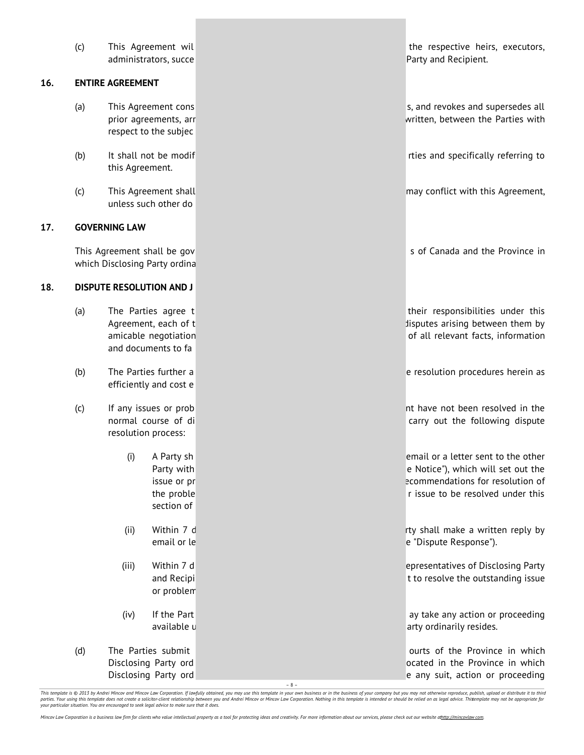administrators, succe **Party and Recipient.** And Party and Recipient.

#### **16. ENTIRE AGREEMENT**

- respect to the subjec
- this Agreement.
- unless such other do

#### **17. GOVERNING LAW**

which Disclosing Party ordina

#### **18. DISPUTE RESOLUTION AND J**

- and documents to fa
- efficiently and cost e
- resolution process:
	- section of
	-
	- or problem
	-
- 

(c) This Agreement wil the respective heirs, executors,

(a) This Agreement cons s, and revokes and supersedes all prior agreements, arr written, between the Parties with

(b) It shall not be modif the contract referring to the contract referring to the contract rties and specifically referring to

(c) This Agreement shall may conflict with this Agreement,

This Agreement shall be gov strategies and the Province in strategies of Canada and the Province in

(a) The Parties agree t their responsibilities under this Agreement, each of t disputes arising between them by amicable negotiation of all relevant facts, information

(b) The Parties further a experiment of the Parties further a experiment of the resolution procedures herein as

(c) If any issues or prob nt have not been resolved in the normal course of di carry out the following dispute

> (i) A Party sh email or a letter sent to the other Party with **Party with a Notice of Allie Control** control extending the Notice"), which will set out the issue or pr ecommendations for resolution of the proble **the proble r** issue to be resolved under this

> (ii) Within 7 d rty shall make a written reply by email or le entre entre entre entre entre entre entre entre entre entre entre entre entre entre entre entre e

> (iii) Within 7 d epresentatives of Disclosing Party and Recipi to resolve the outstanding issue

> (iv) If the Part ay take any action or proceeding available u arty ordinarily resides.

(d) The Parties submit **the Cause of the Province in which** ourts of the Province in which Disclosing Party ord ocated in the Province in which Disclosing Party ord e any suit, action or proceeding

This template is © 2013 by Andrei Mincov and Mincov Law Corporation. If lawfully obtained, you may use this template in your own business or in the business of your company but you may not otherwise reproduce, publish, upl *your particular situation. You are encouraged to seek legal advice to make sure that it does.*